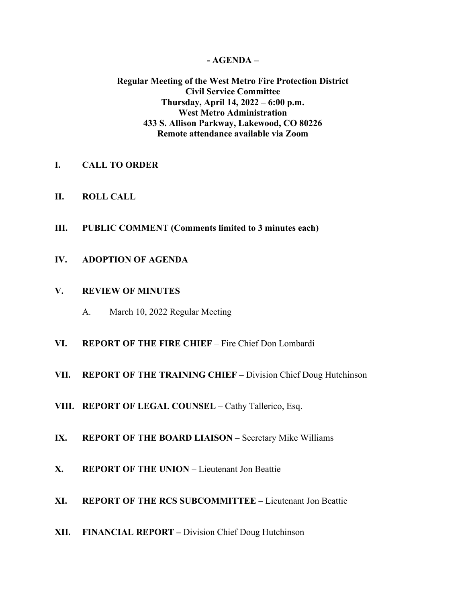### **- AGENDA –**

## **Regular Meeting of the West Metro Fire Protection District Civil Service Committee Thursday, April 14, 2022 – 6:00 p.m. West Metro Administration 433 S. Allison Parkway, Lakewood, CO 80226 Remote attendance available via Zoom**

- **I. CALL TO ORDER**
- **II. ROLL CALL**
- **III. PUBLIC COMMENT (Comments limited to 3 minutes each)**
- **IV. ADOPTION OF AGENDA**

### **V. REVIEW OF MINUTES**

- A. March 10, 2022 Regular Meeting
- **VI. REPORT OF THE FIRE CHIEF**  Fire Chief Don Lombardi
- **VII. REPORT OF THE TRAINING CHIEF** Division Chief Doug Hutchinson
- **VIII. REPORT OF LEGAL COUNSEL** Cathy Tallerico, Esq.
- **IX. REPORT OF THE BOARD LIAISON** Secretary Mike Williams
- **X. REPORT OF THE UNION** Lieutenant Jon Beattie
- **XI. REPORT OF THE RCS SUBCOMMITTEE** Lieutenant Jon Beattie
- **XII. FINANCIAL REPORT –** Division Chief Doug Hutchinson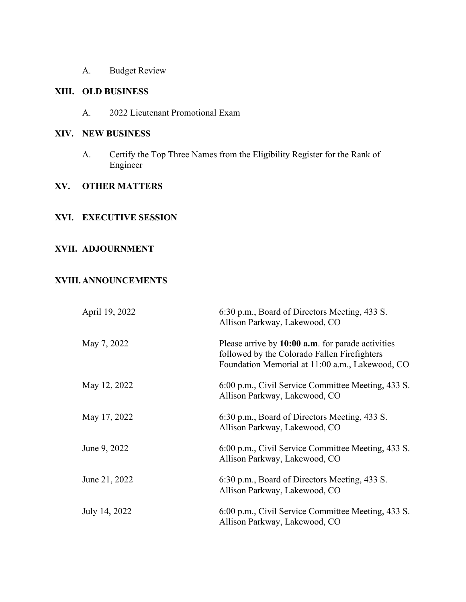A. Budget Review

# **XIII. OLD BUSINESS**

A. 2022 Lieutenant Promotional Exam

#### **XIV. NEW BUSINESS**

A. Certify the Top Three Names from the Eligibility Register for the Rank of Engineer

## **XV. OTHER MATTERS**

#### **XVI. EXECUTIVE SESSION**

# **XVII. ADJOURNMENT**

#### **XVIII.ANNOUNCEMENTS**

| April 19, 2022 | 6:30 p.m., Board of Directors Meeting, 433 S.<br>Allison Parkway, Lakewood, CO                                                                       |
|----------------|------------------------------------------------------------------------------------------------------------------------------------------------------|
| May 7, 2022    | Please arrive by 10:00 a.m. for parade activities<br>followed by the Colorado Fallen Firefighters<br>Foundation Memorial at 11:00 a.m., Lakewood, CO |
| May 12, 2022   | 6:00 p.m., Civil Service Committee Meeting, 433 S.<br>Allison Parkway, Lakewood, CO                                                                  |
| May 17, 2022   | 6:30 p.m., Board of Directors Meeting, 433 S.<br>Allison Parkway, Lakewood, CO                                                                       |
| June 9, 2022   | 6:00 p.m., Civil Service Committee Meeting, 433 S.<br>Allison Parkway, Lakewood, CO                                                                  |
| June 21, 2022  | 6:30 p.m., Board of Directors Meeting, 433 S.<br>Allison Parkway, Lakewood, CO                                                                       |
| July 14, 2022  | 6:00 p.m., Civil Service Committee Meeting, 433 S.<br>Allison Parkway, Lakewood, CO                                                                  |